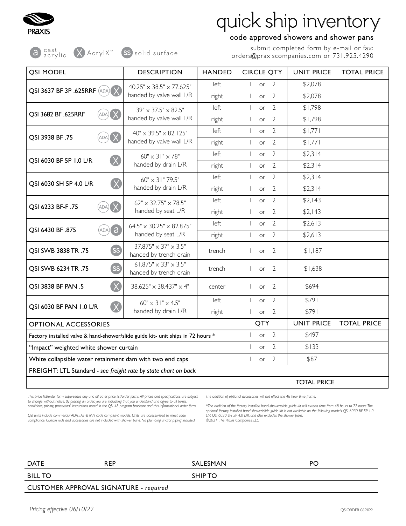

a acrylic X AcrylX<sup>™</sup> SS solid surface

## quick ship inventory

### code approved showers and shower pans

submit completed form by e-mail or fax: orders@praxiscompanies.com or 731.925.4290

| QSI MODEL                                                                                | <b>DESCRIPTION</b>                                               | <b>HANDED</b>                          | <b>CIRCLE QTY</b>                                | <b>UNIT PRICE</b>  | <b>TOTAL PRICE</b> |
|------------------------------------------------------------------------------------------|------------------------------------------------------------------|----------------------------------------|--------------------------------------------------|--------------------|--------------------|
| <b>QSI 3637 BF 3P .625RRF (ADA) X</b>                                                    | $40.25" \times 38.5" \times 77.625"$<br>handed by valve wall L/R | left                                   | $\overline{2}$<br>or<br>$\overline{\phantom{a}}$ | \$2,078            |                    |
|                                                                                          |                                                                  | right                                  | $\overline{2}$<br>$\overline{1}$<br>or           | \$2,078            |                    |
| QSI 3682 BF .625RRF<br>ADA)                                                              | 39" × 37.5" × 82.5"<br>handed by valve wall L/R                  | left                                   | $\overline{2}$<br>$\overline{\phantom{a}}$<br>or | \$1,798            |                    |
|                                                                                          |                                                                  | right                                  | $\overline{2}$<br>$\overline{\phantom{a}}$<br>or | \$1,798            |                    |
|                                                                                          | $40'' \times 39.5'' \times 82.125''$<br>handed by valve wall L/R | left                                   | $\overline{2}$<br>or<br>$\overline{1}$           | \$1,771            |                    |
| QSI 3938 BF.75<br>(ADA)                                                                  |                                                                  | right                                  | $\overline{2}$<br>$\overline{1}$<br>or           | \$1,771            |                    |
| QSI 6030 BF 5P 1.0 L/R                                                                   | $60'' \times 31'' \times 78''$<br>handed by drain L/R            | left                                   | $\overline{2}$<br>$\overline{\phantom{a}}$<br>or | \$2,314            |                    |
| $\left( \times \right)$                                                                  |                                                                  | right                                  | $\overline{2}$<br>or<br>$\overline{\phantom{a}}$ | \$2,314            |                    |
| QSI 6030 SH 5P 4.0 L/R                                                                   | 60" × 31" 79.5"<br>handed by drain L/R                           | left                                   | $\overline{2}$<br>$\mathbf{I}$<br>or             | \$2,314            |                    |
|                                                                                          |                                                                  | right                                  | $\overline{2}$<br>$\overline{1}$<br><b>or</b>    | \$2,314            |                    |
| QSI 6233 BF-F.75<br>$(ADA)$ $\times$                                                     | $62" \times 32.75" \times 78.5"$<br>handed by seat L/R           | left                                   | $\overline{2}$<br>or<br>$\perp$                  | \$2,143            |                    |
|                                                                                          |                                                                  | right                                  | $\overline{2}$<br>or<br>$\overline{1}$           | \$2,143            |                    |
| a)<br>QSI 6430 BF .875<br>ADA)                                                           | $64.5" \times 30.25" \times 82.875"$<br>handed by seat L/R       | left                                   | $\overline{2}$<br>$\overline{1}$<br>or           | \$2,613            |                    |
|                                                                                          |                                                                  | right                                  | $\overline{2}$<br>$\overline{1}$<br>or           | \$2,613            |                    |
| SS<br>QSI SWB 3838 TR .75                                                                | $37.875'' \times 37'' \times 3.5''$<br>handed by trench drain    | trench                                 | $\overline{2}$<br>or                             | \$1,187            |                    |
| SS<br>QSI SWB 6234 TR .75                                                                | $61.875" \times 33" \times 3.5"$<br>handed by trench drain       | trench                                 | $\overline{2}$<br>or                             | \$1,638            |                    |
| $\left( \times \right)$<br>QSI 3838 BF PAN .5                                            | $38.625'' \times 38.437'' \times 4''$                            | center                                 | $\overline{2}$<br>or                             | \$694              |                    |
| QSI 6030 BF PAN 1.0 L/R                                                                  | $60'' \times 31'' \times 4.5''$<br>handed by drain L/R           | left                                   | $\overline{2}$<br>$\overline{1}$<br>or           | \$791              |                    |
|                                                                                          |                                                                  | right                                  | $\overline{2}$<br>$\overline{1}$<br>or           | \$791              |                    |
| <b>OPTIONAL ACCESSORIES</b>                                                              |                                                                  |                                        | QTY                                              | <b>UNIT PRICE</b>  | <b>TOTAL PRICE</b> |
| Factory installed valve & hand-shower/slide guide kit- unit ships in 72 hours *          |                                                                  | $\overline{2}$<br>$\overline{1}$<br>or | \$497                                            |                    |                    |
| "Impact" weighted white shower curtain                                                   |                                                                  |                                        | $\overline{2}$<br>$\overline{\phantom{a}}$<br>or | \$133              |                    |
| $\overline{2}$<br>White collapsible water retainment dam with two end caps<br>\$87<br>or |                                                                  |                                        |                                                  |                    |                    |
| FREIGHT: LTL Standard - see freight rate by state chart on back                          |                                                                  |                                        |                                                  |                    |                    |
|                                                                                          |                                                                  |                                        |                                                  | <b>TOTAL PRICE</b> |                    |

*This price list/order form supersedes any and all other price list/order forms. All prices and specifications are subject*  to change without notice. By placing an order, you are indicating that you understand and agree to all terms, *conditions, pricing, procedural instructions noted in the QSI 48 program brochure and this informational order form.* 

*QSI units include commercial ADA, TAS & MN code compliant models. Units are accessorized to meet code compliance. Curtain rods and accessories are not included with shower pans. No plumbing and/or piping included.* *The addition of optional accessories will not effect the 48 hour time frame.*

\*The addition of the factory installed hand-shower/slide guide kit will extend time from 48 hours to 72 hours.The<br>optional factory installed hand-shower/slide guide kit is not available on the following models: QSI 6030 BF *L/R, QSI 6030 SH 5P 4.0 L/R, and also excludes the shower pans. ©2021 The Praxis Companies, LLC*

| <b>DATE</b>                            | <b>REP</b> | SALESMAN | PO |  |  |
|----------------------------------------|------------|----------|----|--|--|
| <b>BILL TO</b>                         |            | SHIP TO  |    |  |  |
| CUSTOMER APPROVAL SIGNATURE - required |            |          |    |  |  |